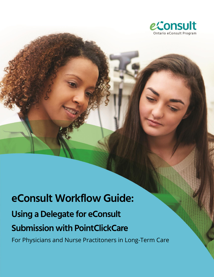

# **eConsult Workflow Guide: Using a Delegate for eConsult Submission with PointClickCare**

For Physicians and Nurse Practitoners in Long-Term Care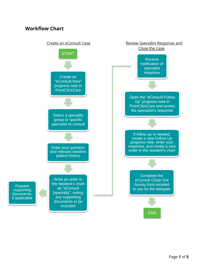### **Workflow Chart**

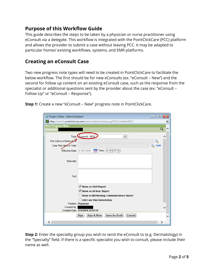## **Purpose of this Workflow Guide**

This guide describes the steps to be taken by a physician or nurse practitioner using eConsult via a delegate. This workflow is integrated with the PointClickCare (PCC) platform and allows the provider to submit a case without leaving PCC. It may be adapted to particular homes' existing workflows, systems, and EMR platforms.

#### **Creating an eConsult Case**

Two new progress note types will need to be created in PointClickCare to facilitate the below workflow. The first should be for new eConsults (ex. "eConsult – New") and the second for follow up content on an existing eConsult case, such as the response from the specialist or additional questions sent by the provider about the case (ex. "eConsult – Follow Up" or "eConsult – Response").

**Step 1:** Create a new "eConsult – New" progress note in PointClickCare.

| Progress Notes - Internet Explorer                                           | $\begin{array}{c c c c c c} \hline \multicolumn{3}{c }{\mathbf{C}} & \multicolumn{3}{c }{\mathbf{X}} \end{array}$ |  |  |  |  |  |  |
|------------------------------------------------------------------------------|-------------------------------------------------------------------------------------------------------------------|--|--|--|--|--|--|
| https://www1.pointclickcare.com/care/chart/ipn/newipn.jsp?ESOLclientid=92227 |                                                                                                                   |  |  |  |  |  |  |
| <b>New Progress Note</b>                                                     |                                                                                                                   |  |  |  |  |  |  |
| <b>Resident:</b>                                                             |                                                                                                                   |  |  |  |  |  |  |
| Type: <b>Econsult</b> - NEW<br>$\checkmark$                                  |                                                                                                                   |  |  |  |  |  |  |
| This note is a follow up to:                                                 |                                                                                                                   |  |  |  |  |  |  |
| Care Plan Item or Task:                                                      | clear                                                                                                             |  |  |  |  |  |  |
| $\frac{1}{2}$ Time: 23 $\vee$ 07 $\vee$<br>Effective Date: 3/16/2018         |                                                                                                                   |  |  |  |  |  |  |
| Specialty:                                                                   |                                                                                                                   |  |  |  |  |  |  |
| Text:                                                                        |                                                                                                                   |  |  |  |  |  |  |
| Show on Shift Report                                                         |                                                                                                                   |  |  |  |  |  |  |
| $\vee$ Show on 24 Hour Report                                                |                                                                                                                   |  |  |  |  |  |  |
| Show on MD/Nursing Communications Report                                     |                                                                                                                   |  |  |  |  |  |  |
| <b>Edit Care Plan Immediately</b>                                            |                                                                                                                   |  |  |  |  |  |  |
| Position: Physician                                                          |                                                                                                                   |  |  |  |  |  |  |
| Created By:                                                                  |                                                                                                                   |  |  |  |  |  |  |
| Created Date: 3/16/2018 23:07:15                                             |                                                                                                                   |  |  |  |  |  |  |
| <b>Save As Draft</b><br>Sign & New<br>Cancel<br>Sign                         |                                                                                                                   |  |  |  |  |  |  |
|                                                                              | ⋗                                                                                                                 |  |  |  |  |  |  |

**Step 2:** Enter the speciality group you wish to send the eConsult to (e.g. Dermatology) in the "Specialty" field. If there is a specific specialist you wish to consult, please include their name as well.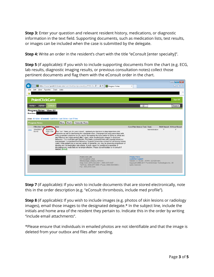**Step 3:** Enter your question and relevant resident history, medications, or diagnostic information in the text field. Supporting documents, such as medication lists, test results, or images can be included when the case is submitted by the delegate.

**Step 4:** Write an order in the resident's chart with the title "eConsult [enter specialty]".

**Step 5** (if applicable)**:** If you wish to include supporting documents from the chart (e.g. ECG, lab results, diagnostic imaging results, or previous consultation notes) collect those pertinent documents and flag them with the eConsult order in the chart.

|                                                                                                                                                                                                                                                                                                                                                                                                                                                                                                                                                                                                                                                                                                                                                                                                                                                                                                                                                           |                                                                                                                                                                   | $\sim$ $\sim$ $\sim$        |
|-----------------------------------------------------------------------------------------------------------------------------------------------------------------------------------------------------------------------------------------------------------------------------------------------------------------------------------------------------------------------------------------------------------------------------------------------------------------------------------------------------------------------------------------------------------------------------------------------------------------------------------------------------------------------------------------------------------------------------------------------------------------------------------------------------------------------------------------------------------------------------------------------------------------------------------------------------------|-------------------------------------------------------------------------------------------------------------------------------------------------------------------|-----------------------------|
| → https://www.1.pointclickcare.com/care/chart/ipn/ipnviewall.jsp?ESOLclie<br>Progress Notes                                                                                                                                                                                                                                                                                                                                                                                                                                                                                                                                                                                                                                                                                                                                                                                                                                                               | X                                                                                                                                                                 | 令 太 珍                       |
| Edit View Favorites Tools Help<br>File                                                                                                                                                                                                                                                                                                                                                                                                                                                                                                                                                                                                                                                                                                                                                                                                                                                                                                                    |                                                                                                                                                                   |                             |
|                                                                                                                                                                                                                                                                                                                                                                                                                                                                                                                                                                                                                                                                                                                                                                                                                                                                                                                                                           |                                                                                                                                                                   | $22^{\circ}$                |
| <b>PointClickCare®</b>                                                                                                                                                                                                                                                                                                                                                                                                                                                                                                                                                                                                                                                                                                                                                                                                                                                                                                                                    |                                                                                                                                                                   | Sign Off                    |
| Admin -<br>Clinical-<br>Home*                                                                                                                                                                                                                                                                                                                                                                                                                                                                                                                                                                                                                                                                                                                                                                                                                                                                                                                             | $\alpha$                                                                                                                                                          | Search                      |
| Progress Notes - View All<br>Resident:<br>Views: All Notes - [Custom] - Last 8 hrs - Last 24 hrs - Last 72 hrs<br><b>Back</b><br><b>Printable View</b><br>New  <br><b>Progress Notes</b>                                                                                                                                                                                                                                                                                                                                                                                                                                                                                                                                                                                                                                                                                                                                                                  |                                                                                                                                                                   |                             |
| Effective Date <b>Type</b><br>$\blacksquare$ Note                                                                                                                                                                                                                                                                                                                                                                                                                                                                                                                                                                                                                                                                                                                                                                                                                                                                                                         | Care Plan Item or Task Dept.                                                                                                                                      | Shift Report 24 Hour Report |
| 3/14/2018<br>Econsult -<br>view<br>09:10<br><b>FOLLOW</b><br>tote Text: Thank you for your consult. I applaud your decision to stop risperidone and<br>frazodone as well as decreasing the citalopram dose. Citalopram has been associated with<br>I ID<br>extra-pyramidal symptoms so you can try decreasing the dose further to 20mg as a trial and<br>see if there is any improvement after 7-days, while monitoring for change in mood and<br>behaviour. You could also get Geriatric Psychiatry involved to help with ongoing behaviour<br>management. I understand that Behaviour Support Ontario has outreach to all nursing homes.<br>Lastly, if this patient has a vascular variety of dementia, you may be observing progression of<br>disease and not medication side-effects. In both cases it is beneficial to decrease or<br>discontinue any meds that are no longer effective. Please do not hesitate to re-consult if<br>needed, llinkedl | Administration                                                                                                                                                    | Υ<br>Υ                      |
| PointClickCare<br>5570 Explorer Drive<br>Mississauga, Ontario L4W 0C4<br>Help Desk: (877) 722-2431   (905) 817-6167<br>Toll Free: (800) 277-5889   Phone: (905) 858-8885  <br>Fax: (905) 858-2248                                                                                                                                                                                                                                                                                                                                                                                                                                                                                                                                                                                                                                                                                                                                                         | Privacy Policy<br><b>Customer Support</b><br>Version 3.7.15.0.6 - WWW1-001006-MAI<br>Copyright 2000-2017 PointClickCare Technologies Inc. All<br>rights reserved. |                             |

**Step 7** (if applicable)**:** If you wish to include documents that are stored electronically, note this in the order description (e.g. "eConsult thrombosis, include med profile").

**Step 8** (if applicable)**:** If you wish to include images (e.g. photos of skin lesions or radiology images), email those images to the designated delegate.\* In the subject line, include the initials and home area of the resident they pertain to. Indicate this in the order by writing "include email attachments".

\*Please ensure that individuals in emailed photos are not identifiable and that the image is deleted from your outbox and files after sending.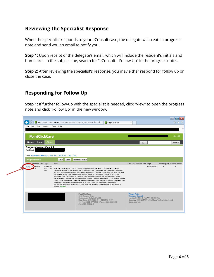## **Reviewing the Specialist Response**

When the specialist responds to your eConsult case, the delegate will create a progress note and send you an email to notify you.

**Step 1:** Upon receipt of the delegate's email, which will include the resident's initials and home area in the subject line, search for "eConsult – Follow Up" in the progress notes.

**Step 2:** After reviewing the specialist's response, you may either respond for follow up or close the case.

### **Responding for Follow Up**

**Step 1:** If further follow-up with the specialist is needed, click "View" to open the progress note and click "Follow Up" in the new window.

|                                                                                                                       |                                   |                  |             | → https://www.1.pointclickcare.com/care/chart/ipn/ipnviewall.jsp?ESOLclie Q - A C<br>P Progress Notes                                                                                                                                                                                                                                                                                                                                                                                                                                                                                                                                                                                                                                                                                                                                                            | $\times$                                                                                                                                                                 | $\begin{array}{c c c c c c} \hline \multicolumn{3}{c }{\textbf{O}} & \multicolumn{3}{c }{\textbf{X}} \\\hline \end{array}$<br>← 太 设 |
|-----------------------------------------------------------------------------------------------------------------------|-----------------------------------|------------------|-------------|------------------------------------------------------------------------------------------------------------------------------------------------------------------------------------------------------------------------------------------------------------------------------------------------------------------------------------------------------------------------------------------------------------------------------------------------------------------------------------------------------------------------------------------------------------------------------------------------------------------------------------------------------------------------------------------------------------------------------------------------------------------------------------------------------------------------------------------------------------------|--------------------------------------------------------------------------------------------------------------------------------------------------------------------------|-------------------------------------------------------------------------------------------------------------------------------------|
| Edit View Favorites Tools Help<br>Eile                                                                                |                                   |                  |             |                                                                                                                                                                                                                                                                                                                                                                                                                                                                                                                                                                                                                                                                                                                                                                                                                                                                  |                                                                                                                                                                          | $\rightarrow$                                                                                                                       |
| <b>PointClickCare</b>                                                                                                 |                                   |                  |             |                                                                                                                                                                                                                                                                                                                                                                                                                                                                                                                                                                                                                                                                                                                                                                                                                                                                  |                                                                                                                                                                          | Sign Off                                                                                                                            |
| Admin -<br>Home $\sim$                                                                                                | Clinical -                        |                  |             |                                                                                                                                                                                                                                                                                                                                                                                                                                                                                                                                                                                                                                                                                                                                                                                                                                                                  | $\alpha$                                                                                                                                                                 | Search                                                                                                                              |
| Progress Notes - View All<br><b>Resident:</b><br>Views: All Notes - [Custom] - Last 8 hrs - Last 24 hrs - Last 72 hrs |                                   |                  |             |                                                                                                                                                                                                                                                                                                                                                                                                                                                                                                                                                                                                                                                                                                                                                                                                                                                                  |                                                                                                                                                                          |                                                                                                                                     |
| <b>Progress Notes</b>                                                                                                 |                                   | <b>New</b>       | <b>Back</b> | <b>Printable View</b>                                                                                                                                                                                                                                                                                                                                                                                                                                                                                                                                                                                                                                                                                                                                                                                                                                            |                                                                                                                                                                          |                                                                                                                                     |
| <b>Effective Date Type</b>                                                                                            |                                   | <b>Note</b>      |             |                                                                                                                                                                                                                                                                                                                                                                                                                                                                                                                                                                                                                                                                                                                                                                                                                                                                  | Care Plan Item or Task Dept.                                                                                                                                             | Shift Report 24 Hour Report                                                                                                         |
| 3/4/2018<br>view<br>$-10$                                                                                             | Econsult -<br><b>FOLLOW</b><br>UP | needed. [linked] |             | Note Text: Thank you for your consult. I applaud your decision to stop risperidone and<br>trazodone as well as decreasing the citalopram dose. Citalopram has been associated with<br>extra-pyramidal symptoms so you can try decreasing the dose further to 20mg as a trial and<br>see if there is any improvement after 7-days, while monitoring for change in mood and<br>behaviour. You could also get Geriatric Psychiatry involved to help with ongoing behaviour<br>management. I understand that Behaviour Support Ontario has outreach to all nursing homes.<br>Lastly, if this patient has a vascular variety of dementia, you may be observing progression of<br>disease and not medication side-effects. In both cases it is beneficial to decrease or<br>discontinue any meds that are no longer effective. Please do not hesitate to re-consult if | Administration                                                                                                                                                           | Y<br>Y                                                                                                                              |
|                                                                                                                       |                                   |                  |             |                                                                                                                                                                                                                                                                                                                                                                                                                                                                                                                                                                                                                                                                                                                                                                                                                                                                  |                                                                                                                                                                          |                                                                                                                                     |
|                                                                                                                       |                                   |                  |             | <b>PointClickCare</b><br>5570 Explorer Drive<br>Mississauga, Ontario L4W 0C4<br>Help Desk: (877) 722-2431   (905) 817-6167<br>Toll Free: (800) 277-5889   Phone: (905) 858-8885  <br>Fax: (905) 858-2248                                                                                                                                                                                                                                                                                                                                                                                                                                                                                                                                                                                                                                                         | <b>Privacy Policy</b><br><b>Customer Support</b><br>Version 3.7.15.0.6 - WWW1-001006-MAI<br>Copyright 2000-2017 PointClickCare Technologies Inc. All<br>rights reserved. |                                                                                                                                     |